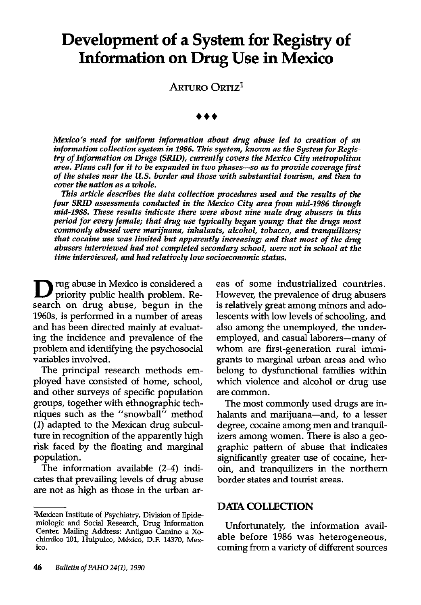# Development of a System for Registry of Information on Drug Use in Mexico

ARTURO ORTIZ<sup>1</sup>

Mexico's need for uniform information about drug abuse led to creation of an information collection system in 1986. This system, known as the System for Registry of Information on Drugs (SRID), currently covers the Mexico City metropolitan area. Plans call for it to be expanded in two phases-so as to provide coverage first of the states near the U.S. border and those with substantial tourism, and then to cover the nation as a whole.

This article describes the data collection procedures used and the results of the four SRID assessments conducted in the Mexico City area from mid-1986 through mid-1988. These results indicate there were about nine male drug abusers in this period for every female; that drug use typically began young; that the drugs most commonly abused were marijuana, inhalants, alcohol, tobacco, and tranquilizers; that cocaine use was limited but apparently increasing; and that most of the drug abusers interviewed had not completed secondary school, were not in school at the time interviewed, and had relatively low socioeconomic status.

D rug abuse in Mexico is considered a priority public health problem. Research on drug abuse, begun in the 196Os, is performed in a number of areas and has been directed mainly at evaluating the incidence and prevalence of the problem and identifying the psychosocial variables involved.

The principal research methods employed have consisted of home, school, and other surveys of specific population groups, together with ethnographic techniques such as the "snowball" method (1) adapted to the Mexican drug subculture in recognition of the apparently high risk faced by the floating and marginal population.

The information available (2-4) indicates that prevailing levels of drug abuse are not as high as those in the urban areas of some industrialized countries. However, the prevalence of drug abusers is relatively great among minors and adolescents with low levels of schooling, and also among the unemployed, the underemployed, and casual laborers-many of whom are first-generation rural immigrants to marginal urban areas and who belong to dysfunctional families within which violence and alcohol or drug use are common.

The most commonly used drugs are inhalants and marijuana-and, to a lesser degree, cocaine among men and tranquilizers among women. There is also a geographic pattern of abuse that indicates significantly greater use of cocaine, heroin, and tranquilizers in the northern border states and tourist areas.

#### DATA COLLECTION

Unfortunately, the information available before 1986 was heterogeneous, coming from a variety of different sources

<sup>&</sup>lt;sup>1</sup>Mexican Institute of Psychiatry, Division of Epidemiologic and Social Research, Drug Information Center. Mailing Address: Antigua Camino a Xochimilco 101, Huipulco, México, D.F. 14370, Mexico.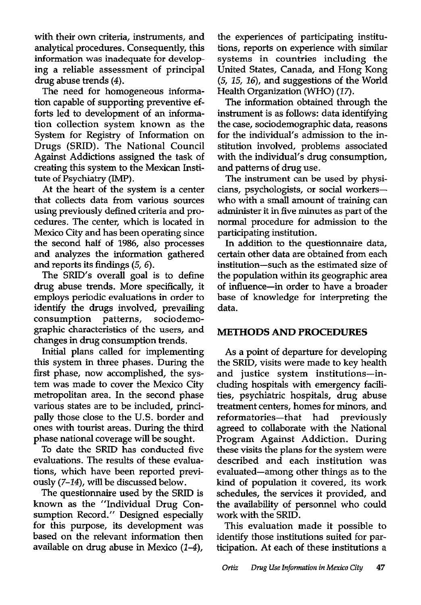with their own criteria, instruments, and analytical procedures. Consequently, this information was inadequate for developing a reliable assessment of principal drug abuse trends (4).

The need for homogeneous information capable of supporting preventive efforts led to development of an information collection system known as the System for Registry of Information on Drugs (SRID). The National Council Against Addictions assigned the task of creating this system to the Mexican Institute of Psychiatry (IMP).

At the heart of the system is a center that collects data from various sources using previously defined criteria and procedures. The center, which is located in Mexico City and has been operating since the second half of 1986, also processes and analyzes the information gathered and reports its findings (5, 6).

The SRID's overall goal is to define drug abuse trends. More specifically, it employs periodic evaluations in order to identify the drugs involved, prevailing consumption patterns, sociodemographic characteristics of the users, and changes in drug consumption trends.

Initial plans called for implementing this system in three phases. During the first phase, now accomplished, the system was made to cover the Mexico City metropolitan area. In the second phase various states are to be included, principally those close to the U.S. border and ones with tourist areas. During the third phase national coverage will be sought.

To date the SRJD has conducted five evaluations. The results of these evaluations, which have been reported previously (7-14), will be discussed below.

The questionnaire used by the SRID is known as the "Individual Drug Consumption Record." Designed especially for this purpose, its development was based on the relevant information then available on drug abuse in Mexico (l-4),

the experiences of participating institutions, reports on experience with similar systems in countries including the United States, Canada, and Hong Kong (5, 15, 16), and suggestions of the World Health Organization (WHO) (17).

The information obtained through the instrument is as follows: data identifying the case, sociodemographic data, reasons for the individual's admission to the institution involved, problems associated with the individual's drug consumption, and patterns of drug use.

The instrument can be used by physicians, psychologists, or social workerswho with a small amount of training can administer it in five minutes as part of the normal procedure for admission to the participating institution.

In addition to the questionnaire data, certain other data are obtained from each institution-such as the estimated size of the population within its geographic area of influence-in order to have a broader base of knowledge for interpreting the data.

## METHODS AND PROCEDURES

As a point of departure for developing the SRID, visits were made to key health and justice system institutions-including hospitals with emergency facilities, psychiatric hospitals, drug abuse treatment centers, homes for minors, and reformatories-that had previously agreed to collaborate with the National Program Against Addiction. During these visits the plans for the system were described and each institution was evaluated-among other things as to the kind of population it covered, its work schedules, the services it provided, and the availability of personnel who could work with the SRID.

This evaluation made it possible to identify those institutions suited for participation. At each of these institutions a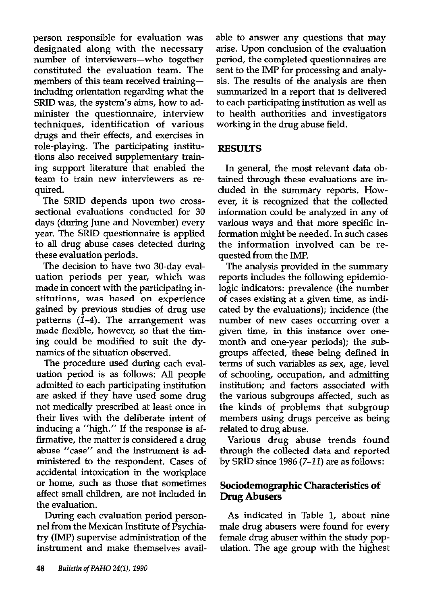person responsible for evaluation was designated along with the necessary number of interviewers-who together constituted the evaluation team. The members of this team received trainingincluding orientation regarding what the SRID was, the system's aims, how to administer the questionnaire, interview techniques, identification of various drugs and their effects, and exercises in role-playing. The participating institutions also received supplementary training support literature that enabled the team to train new interviewers as required.

The SRID depends upon two crosssectional evaluations conducted for 30 days (during June and November) every year. The SRID questionnaire is applied to all drug abuse cases detected during these evaluation periods.

The decision to have two 30-day evaluation periods per year, which was made in concert with the participating institutions, was based on experience gained by previous studies of drug use patterns  $(1-4)$ . The arrangement was made flexible, however, so that the timing could be modified to suit the dynamics of the situation observed.

The procedure used during each evaluation period is as follows: All people admitted to each participating institution are asked if they have used some drug not medically prescribed at least once in their lives with the deliberate intent of inducing a "high." If the response is affirmative, the matter is considered a drug abuse "case" and the instrument is administered to the respondent. Cases of accidental intoxication in the workplace or home, such as those that sometimes affect small children, are not included in the evaluation.

During each evaluation period personnel from the Mexican Institute of Psychiatry (IMP) supervise administration of the instrument and make themselves available to answer any questions that may arise. Upon conclusion of the evaluation period, the completed questionnaires are sent to the IMP for processing and analysis. The results of the analysis are then summarized in a report that is delivered to each participating institution as well as to health authorities and investigators working in the drug abuse field.

#### RESULTS

In general, the most relevant data obtained through these evaluations are included in the summary reports. However, it is recognized that the collected information could be analyzed in any of various ways and that more specific information might be needed. In such cases the information involved can be requested from the IMP.

The analysis provided in the summary reports includes the following epidemiologic indicators: prevalence (the number of cases existing at a given time, as indicated by the evaluations); incidence (the number of new cases occurring over a given time, in this instance over onemonth and one-year periods); the subgroups affected, these being defined in terms of such variables as sex, age, level of schooling, occupation, and admitting institution; and factors associated with the various subgroups affected, such as the kinds of problems that subgroup members using drugs perceive as being related to drug abuse.

Various drug abuse trends found through the collected data and reported by SRTD since 1986 (7-12) are as follows:

## Sociodemographic Characteristics of Drug Abusers

As indicated in Table 1, about nine male drug abusers were found for every female drug abuser within the study population. The age group with the highest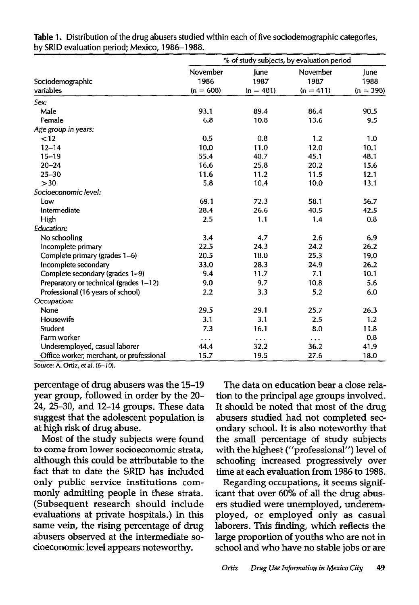|                                          | % of study subjects, by evaluation period |                             |                                 |                             |
|------------------------------------------|-------------------------------------------|-----------------------------|---------------------------------|-----------------------------|
| Sociodemographic<br>variables            | November<br>1986<br>$(n = 608)$           | June<br>1987<br>$(n = 481)$ | November<br>1987<br>$(n = 411)$ | June<br>1988<br>$(n = 398)$ |
| Sex:                                     |                                           |                             |                                 |                             |
| Male                                     | 93.1                                      | 89.4                        | 86.4                            | 90.5                        |
| Female                                   | 6.8                                       | 10.8                        | 13.6                            | 9.5                         |
| Age group in years:                      |                                           |                             |                                 |                             |
| < 12                                     | 0.5                                       | 0.8                         | 1.2                             | 1.0                         |
| $12 - 14$                                | 10.0                                      | 11.0                        | 12.0                            | 10.1                        |
| $15 - 19$                                | 55.4                                      | 40.7                        | 45.1                            | 48.1                        |
| $20 - 24$                                | 16.6                                      | 25.8                        | 20.2                            | 15.6                        |
| $25 - 30$                                | 11.6                                      | 11.2                        | 11.5                            | 12.1                        |
| >30                                      | 5.8                                       | 10.4                        | 10,0                            | 13.1                        |
| Socioeconomic level:                     |                                           |                             |                                 |                             |
| Low                                      | 69.1                                      | 72.3                        | 58.1                            | 56.7                        |
| Intermediate                             | 28.4                                      | 26.6                        | 40.5                            | 42.5                        |
| High                                     | 2.5                                       | 1.1                         | 1.4                             | 0.8                         |
| Education:                               |                                           |                             |                                 |                             |
| No schooling                             | 3.4                                       | 4.7                         | 2.6                             | 6.9                         |
| Incomplete primary                       | 22.5                                      | 24.3                        | 24.2                            | 26.2                        |
| Complete primary (grades 1-6)            | 20.5                                      | 18.0                        | 25.3                            | 19.0                        |
| Incomplete secondary                     | 33.0                                      | 28.3                        | 24.9                            | 26.2                        |
| Complete secondary (grades 1-9)          | 9.4                                       | 11.7                        | 7.1                             | 10.1                        |
| Preparatory or technical (grades 1-12)   | 9.0                                       | 9.7                         | 10.8                            | 5.6                         |
| Professional (16 years of school)        | 2.2                                       | 3.3                         | 5.2                             | 6.0                         |
| Occupation:                              |                                           |                             |                                 |                             |
| None                                     | 29.5                                      | 29.1                        | 25.7                            | 26.3                        |
| Housewife                                | 3.1                                       | 3.1                         | 2.5                             | 1.2                         |
| <b>Student</b>                           | 7.3                                       | 16.1                        | 8.0                             | 11.8                        |
| Farm worker                              | $\cdots$                                  | $\sim$ $\sim$               | .                               | 0.8                         |
| Underemployed, casual laborer            | 44.4                                      | 32.2                        | 36.2                            | 41.9                        |
| Office worker, merchant, or professional | 15.7                                      | 19.5                        | 27.6                            | 18.0                        |

Table 1. Distribution of the drug abusers studied within each of five sociodemographic categories, by SRID evaluation period; Mexico, 1986-1988.

Source: A. Ortiz, et al. (6-10).

percentage of drug abusers was the 15-19 year group, followed in order by the 20- 24, 25-30, and 12-14 groups. These data suggest that the adolescent population is at high risk of drug abuse.

Most of the study subjects were found to come from lower socioeconomic strata, although this could be attributable to the fact that to date the SRID has included only public service institutions commonly admitting people in these strata. (Subsequent research should include evaluations at private hospitals.) In this same vein, the rising percentage of drug abusers observed at the intermediate socioeconomic level appears noteworthy.

The data on education bear a close relation to the principal age groups involved. It should be noted that most of the drug abusers studied had not completed secondary school. It is also noteworthy that the small percentage of study subjects with the highest ("professional") level of schooling increased progressively over time at each evaluation from 1986 to 1988.

Regarding occupations, it seems significant that over 60% of all the drug abusers studied were unemployed, underemployed, or employed only as casual laborers. This finding, which reflects the large proportion of youths who are not in school and who have no stable jobs or are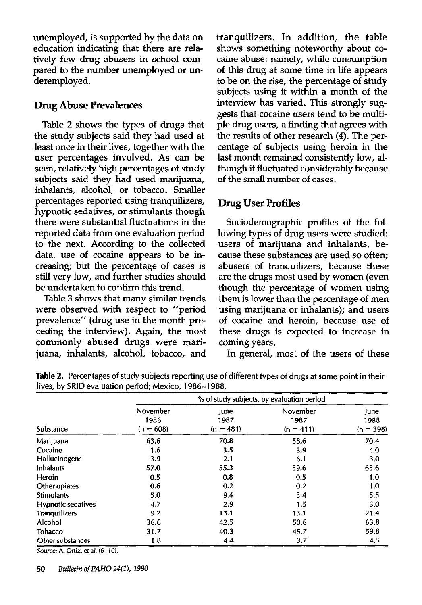unemployed, is supported by the data on education indicating that there are relatively few drug abusers in school compared to the number unemployed or underemployed.

#### Drug Abuse Prevalences

Table 2 shows the types of drugs that the study subjects said they had used at least once in their lives, together with the user percentages involved. As can be seen, relatively high percentages of study subjects said they had used marijuana, inhalants, alcohol, or tobacco. Smaller percentages reported using tranquilizers, hypnotic sedatives, or stimulants though there were substantial fluctuations in the reported data from one evaluation period to the next. According to the collected data, use of cocaine appears to be increasing; but the percentage of cases is still very low, and further studies should be undertaken to confirm this trend.

Table 3 shows that many similar trends were observed with respect to "period prevalence" (drug use in the month preceding the interview). Again, the most commonly abused drugs were marijuana, inhalants, alcohol, tobacco, and tranquilizers. In addition, the table shows something noteworthy about cocaine abuse: namely, while consumption of this drug at some time in life appears to be on the rise, the percentage of study subjects using it within a month of the interview has varied. This strongly suggests that cocaine users tend to be multiple drug users, a finding that agrees with the results of other research (4). The percentage of subjects using heroin in the last month remained consistently low, although it fluctuated considerably because of the small number of cases.

# Drug User Profiles

Sociodemographic profiles of the following types of drug users were studied: users of marijuana and inhalants, because these substances are used so often; abusers of tranquilizers, because these are the drugs most used by women (even though the percentage of women using them is lower than the percentage of men using marijuana or inhalants); and users of cocaine and heroin, because use of these drugs is expected to increase in coming years.

In general, most of the users of these

| Substance          | % of study subjects, by evaluation period |                             |                                 |                             |  |  |
|--------------------|-------------------------------------------|-----------------------------|---------------------------------|-----------------------------|--|--|
|                    | November<br>1986<br>$(n = 608)$           | lune<br>1987<br>$(n = 481)$ | November<br>1987<br>$(n = 411)$ | June<br>1988<br>$(n = 398)$ |  |  |
| Marijuana          | 63.6                                      | 70.8                        | 58.6                            | 70.4                        |  |  |
| Cocaine            | 1.6                                       | 3.5                         | 3.9                             | 4.0                         |  |  |
| Hallucinogens      | 3.9                                       | 2.1                         | 6.1                             | 3.0                         |  |  |
| Inhalants          | 57.0                                      | 55.3                        | 59.6                            | 63.6                        |  |  |
| <b>Heroin</b>      | 0.5                                       | 0.8                         | 0.5                             | 1.0                         |  |  |
| Other opiates      | 0.6                                       | 0.2                         | 0.2                             | 1.0                         |  |  |
| <b>Stimulants</b>  | 5.0                                       | 9.4                         | 3.4                             | 5,5                         |  |  |
| Hypnotic sedatives | 4.7                                       | 2.9                         | 1.5                             | 3.0                         |  |  |
| Tranquilizers      | 9.2                                       | 13.1                        | 13.1                            | 21.4                        |  |  |
| Alcohol            | 36.6                                      | 42.5                        | 50.6                            | 63.8                        |  |  |
| Tobacco            | 31.7                                      | 40.3                        | 45.7                            | 59.8                        |  |  |
| Other substances   | 1.8                                       | 4.4                         | 3.7                             | 4.5                         |  |  |

Table 2. Percentages of study subjects reporting use of different types of drugs at some point in their lives, by SRID evaluation period; Mexico, 1986-1988.

Source: A. Ortiz, et al.  $(6-10)$ .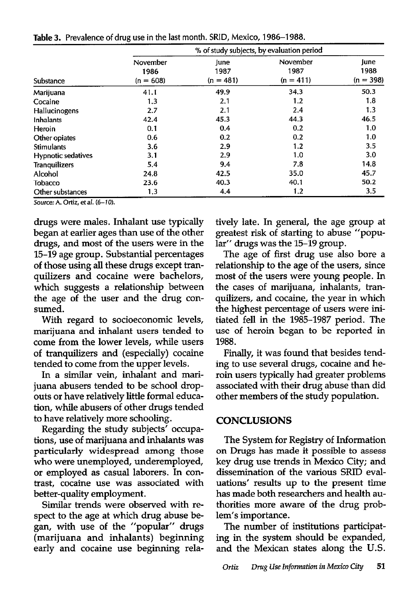| Substance            |                                 |                             |                                 |                             |
|----------------------|---------------------------------|-----------------------------|---------------------------------|-----------------------------|
|                      | November<br>1986<br>$(n = 608)$ | lune<br>1987<br>$(n = 481)$ | November<br>1987<br>$(n = 411)$ | June<br>1988<br>$(n = 398)$ |
| Marijuana            | 41.1                            | 49.9                        | 34.3                            | 50.3                        |
| Cocaine              | 1.3                             | 2.1                         | 1.2                             | 1.8                         |
| Hallucinogens        | 2.7                             | 2.1                         | 2.4                             | 1.3                         |
| Inhalants            | 42.4                            | 45.3                        | 44.3                            | 46.5                        |
| Heroin               | 0.1                             | 0.4                         | 0.2                             | 1.0                         |
| Other opiates        | 0.6                             | 0.2                         | 0.2                             | 1.0                         |
| <b>Stimulants</b>    | 3.6                             | 2.9                         | 1.2                             | 3.5                         |
| Hypnotic sedatives   | 3.1                             | 2.9                         | 1.0                             | 3.0                         |
| <b>Tranquilizers</b> | 5.4                             | 9.4                         | 7.8                             | 14.8                        |
| Alcohol              | 24.8                            | 42.5                        | 35.0                            | 45.7                        |
| Tobacco              | 23.6                            | 40.3                        | 40.1                            | 50.2                        |
| Other substances     | 1,3                             | 4.4                         | 1.2                             | 3.5                         |

Table 3. Prevalence of drug use in the last month. SRID, Mexico, 1986-1988.

Source: A. Ortiz, et al. (6-10).

drugs were males. Inhalant use typically began at earlier ages than use of the other drugs, and most of the users were in the 15-19 age group. Substantial percentages of those using all these drugs except tranquilizers and cocaine were bachelors, which suggests a relationship between the age of the user and the drug consumed.

With regard to socioeconomic levels, marijuana and inhalant users tended to come from the lower levels, while users of tranquilizers and (especially) cocaine tended to come from the upper levels.

In a similar vein, inhalant and marijuana abusers tended to be school dropouts or have relatively little formal education, while abusers of other drugs tended to have relatively more schooling.

Regarding the study subjects' occupations, use of marijuana and inhalants was particularly widespread among those who were unemployed, underemployed, or employed as casual laborers. In contrast, cocaine use was associated with better-quality employment.

Similar trends were observed with respect to the age at which drug abuse began, with use of the "popular" drugs (marijuana and inhalants) beginning early and cocaine use beginning relatively late. In general, the age group at greatest risk of starting to abuse "popular" drugs was the 15-19 group.

The age of first drug use also bore a relationship to the age of the users, since most of the users were young people. In the cases of marijuana, inhalants, tranquilizers, and cocaine, the year in which the highest percentage of users were initiated fell in the 1985-1987 period. The use of heroin began to be reported in 1988.

Finally, it was found that besides tending to use several drugs, cocaine and heroin users typically had greater problems associated with their drug abuse than did other members of the study population.

#### CONCLUSIONS

The System for Registry of Information on Drugs has made it possible to assess key drug use trends in Mexico City; and dissemination of the various SRID evaluations' results up to the present time has made both researchers and health authorities more aware of the drug problem's importance.

The number of institutions participating in the system should be expanded, and the Mexican states along the U.S.